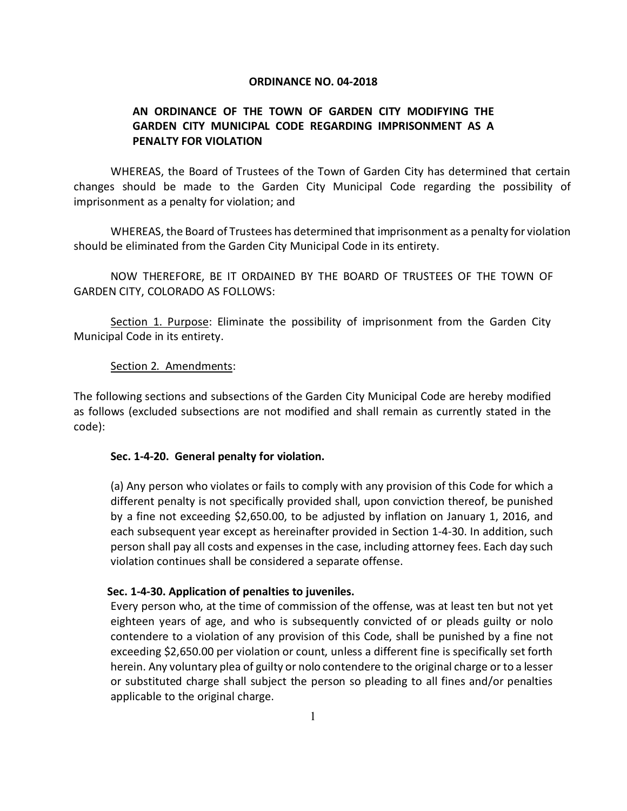### **ORDINANCE NO. 04-2018**

# **AN ORDINANCE OF THE TOWN OF GARDEN CITY MODIFYING THE GARDEN CITY MUNICIPAL CODE REGARDING IMPRISONMENT AS A PENALTY FOR VIOLATION**

WHEREAS, the Board of Trustees of the Town of Garden City has determined that certain changes should be made to the Garden City Municipal Code regarding the possibility of imprisonment as a penalty for violation; and

WHEREAS, the Board of Trustees has determined that imprisonment as a penalty for violation should be eliminated from the Garden City Municipal Code in its entirety.

NOW THEREFORE, BE IT ORDAINED BY THE BOARD OF TRUSTEES OF THE TOWN OF GARDEN CITY, COLORADO AS FOLLOWS:

Section 1. Purpose: Eliminate the possibility of imprisonment from the Garden City Municipal Code in its entirety.

## Section 2. Amendments:

The following sections and subsections of the Garden City Municipal Code are hereby modified as follows (excluded subsections are not modified and shall remain as currently stated in the code):

#### **Sec. 1-4-20. General penalty for violation.**

(a) Any person who violates or fails to comply with any provision of this Code for which a different penalty is not specifically provided shall, upon conviction thereof, be punished by a fine not exceeding \$2,650.00, to be adjusted by inflation on January 1, 2016, and each subsequent year except as hereinafter provided in Section 1-4-30. In addition, such person shall pay all costs and expenses in the case, including attorney fees. Each day such violation continues shall be considered a separate offense.

## **Sec. 1-4-30. Application of penalties to juveniles.**

Every person who, at the time of commission of the offense, was at least ten but not yet eighteen years of age, and who is subsequently convicted of or pleads guilty or nolo contendere to a violation of any provision of this Code, shall be punished by a fine not exceeding \$2,650.00 per violation or count, unless a different fine is specifically set forth herein. Any voluntary plea of guilty or nolo contendere to the original charge or to a lesser or substituted charge shall subject the person so pleading to all fines and/or penalties applicable to the original charge.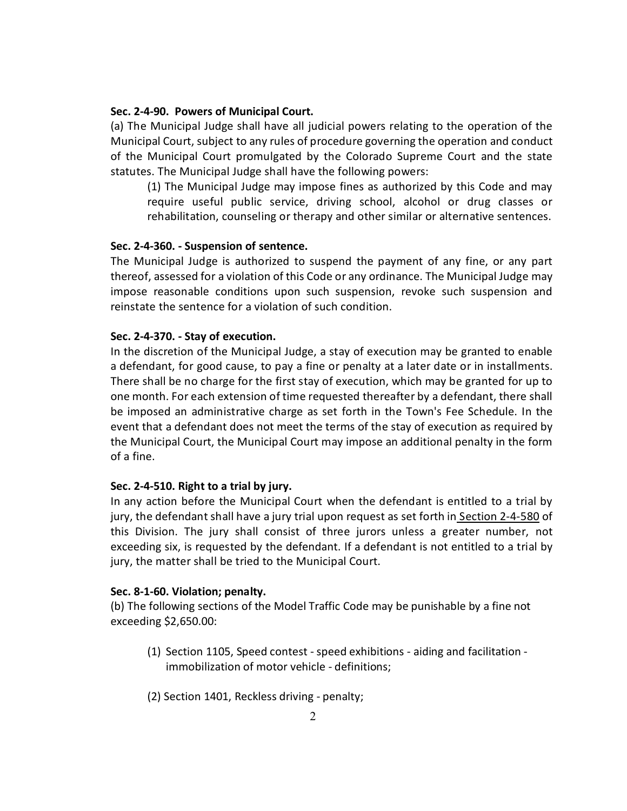#### **Sec. 2-4-90. Powers of Municipal Court.**

(a) The Municipal Judge shall have all judicial powers relating to the operation of the Municipal Court, subject to any rules of procedure governing the operation and conduct of the Municipal Court promulgated by the Colorado Supreme Court and the state statutes. The Municipal Judge shall have the following powers:

(1) The Municipal Judge may impose fines as authorized by this Code and may require useful public service, driving school, alcohol or drug classes or rehabilitation, counseling or therapy and other similar or alternative sentences.

### **Sec. 2-4-360. - Suspension of sentence.**

The Municipal Judge is authorized to suspend the payment of any fine, or any part thereof, assessed for a violation of this Code or any ordinance. The Municipal Judge may impose reasonable conditions upon such suspension, revoke such suspension and reinstate the sentence for a violation of such condition.

## **Sec. 2-4-370. - Stay of execution.**

In the discretion of the Municipal Judge, a stay of execution may be granted to enable a defendant, for good cause, to pay a fine or penalty at a later date or in installments. There shall be no charge for the first stay of execution, which may be granted for up to one month. For each extension of time requested thereafter by a defendant, there shall be imposed an administrative charge as set forth in the Town's Fee Schedule. In the event that a defendant does not meet the terms of the stay of execution as required by the Municipal Court, the Municipal Court may impose an additional penalty in the form of a fine.

## **Sec. 2-4-510. Right to a trial by jury.**

In any action before the Municipal Court when the defendant is entitled to a trial by jury, the defendant shall have a jury trial upon request as set forth in [Section 2-4-580](https://library.municode.com/co/garden_city/codes/municipal_code?nodeId=CH2AD_ART4MUCO_DIV3TRJU_S2-4-580DEJUTRFECO) of this Division. The jury shall consist of three jurors unless a greater number, not exceeding six, is requested by the defendant. If a defendant is not entitled to a trial by jury, the matter shall be tried to the Municipal Court.

#### **Sec. 8-1-60. Violation; penalty.**

(b) The following sections of the Model Traffic Code may be punishable by a fine not exceeding \$2,650.00:

- (1) Section 1105, Speed contest -speed exhibitions aiding and facilitation immobilization of motor vehicle - definitions;
- (2) Section 1401, Reckless driving penalty;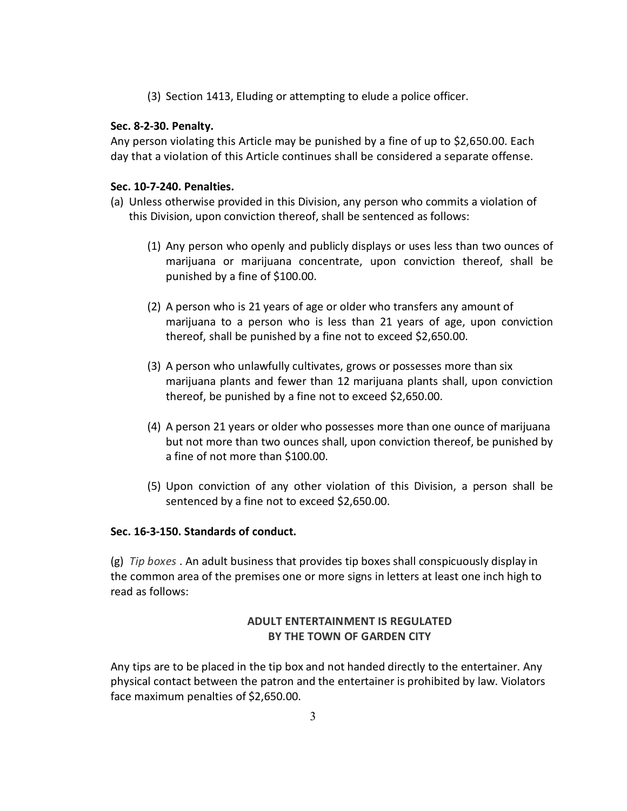(3) Section 1413, Eluding or attempting to elude a police officer.

## **Sec. 8-2-30. Penalty.**

Any person violating this Article may be punished by a fine of up to \$2,650.00. Each day that a violation of this Article continues shall be considered a separate offense.

# **Sec. 10-7-240. Penalties.**

- (a) Unless otherwise provided in this Division, any person who commits a violation of this Division, upon conviction thereof, shall be sentenced as follows:
	- (1) Any person who openly and publicly displays or uses less than two ounces of marijuana or marijuana concentrate, upon conviction thereof, shall be punished by a fine of \$100.00.
	- (2) A person who is 21 years of age or older who transfers any amount of marijuana to a person who is less than 21 years of age, upon conviction thereof, shall be punished by a fine not to exceed \$2,650.00.
	- (3) A person who unlawfully cultivates, grows or possesses more than six marijuana plants and fewer than 12 marijuana plants shall, upon conviction thereof, be punished by a fine not to exceed \$2,650.00.
	- (4) A person 21 years or older who possesses more than one ounce of marijuana but not more than two ounces shall, upon conviction thereof, be punished by a fine of not more than \$100.00.
	- (5) Upon conviction of any other violation of this Division, a person shall be sentenced by a fine not to exceed \$2,650.00.

## **Sec. 16-3-150. Standards of conduct.**

(g) *Tip boxes* . An adult business that provides tip boxes shall conspicuously display in the common area of the premises one or more signs in letters at least one inch high to read as follows:

# **ADULT ENTERTAINMENT IS REGULATED BY THE TOWN OF GARDEN CITY**

Any tips are to be placed in the tip box and not handed directly to the entertainer. Any physical contact between the patron and the entertainer is prohibited by law. Violators face maximum penalties of \$2,650.00.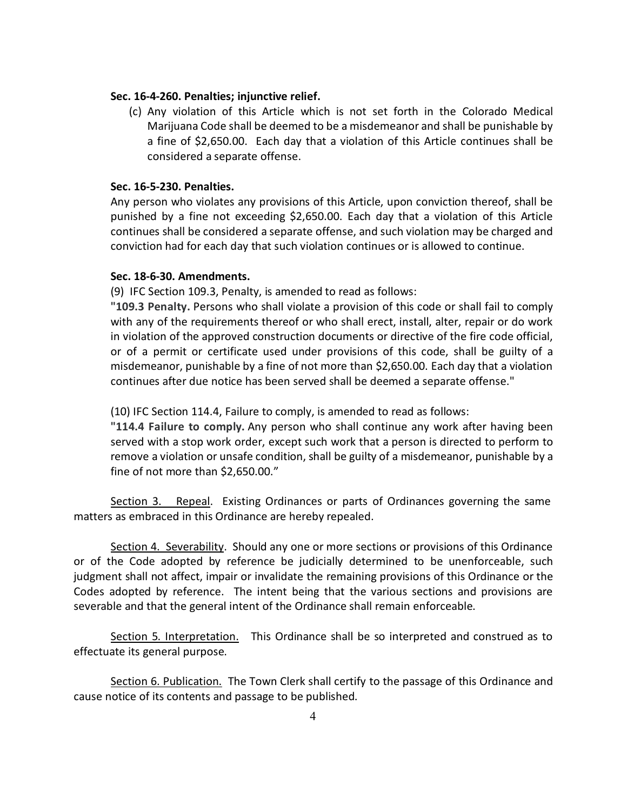#### **Sec. 16-4-260. Penalties; injunctive relief.**

(c) Any violation of this Article which is not set forth in the Colorado Medical Marijuana Code shall be deemed to be a misdemeanor and shall be punishable by a fine of \$2,650.00. Each day that a violation of this Article continues shall be considered a separate offense.

#### **Sec. 16-5-230. Penalties.**

Any person who violates any provisions of this Article, upon conviction thereof, shall be punished by a fine not exceeding \$2,650.00. Each day that a violation of this Article continues shall be considered a separate offense, and such violation may be charged and conviction had for each day that such violation continues or is allowed to continue.

### **Sec. 18-6-30. Amendments.**

(9) IFC Section 109.3, Penalty, is amended to read as follows:

**"109.3 Penalty.** Persons who shall violate a provision of this code or shall fail to comply with any of the requirements thereof or who shall erect, install, alter, repair or do work in violation of the approved construction documents or directive of the fire code official, or of a permit or certificate used under provisions of this code, shall be guilty of a misdemeanor, punishable by a fine of not more than \$2,650.00. Each day that a violation continues after due notice has been served shall be deemed a separate offense."

(10) IFC Section 114.4, Failure to comply, is amended to read as follows:

**"114.4 Failure to comply.** Any person who shall continue any work after having been served with a stop work order, except such work that a person is directed to perform to remove a violation or unsafe condition, shall be guilty of a misdemeanor, punishable by a fine of not more than \$2,650.00."

Section 3. Repeal. Existing Ordinances or parts of Ordinances governing the same matters as embraced in this Ordinance are hereby repealed.

Section 4. Severability. Should any one or more sections or provisions of this Ordinance or of the Code adopted by reference be judicially determined to be unenforceable, such judgment shall not affect, impair or invalidate the remaining provisions of this Ordinance or the Codes adopted by reference. The intent being that the various sections and provisions are severable and that the general intent of the Ordinance shall remain enforceable.

Section 5. Interpretation. This Ordinance shall be so interpreted and construed as to effectuate its general purpose.

Section 6. Publication. The Town Clerk shall certify to the passage of this Ordinance and cause notice of its contents and passage to be published.